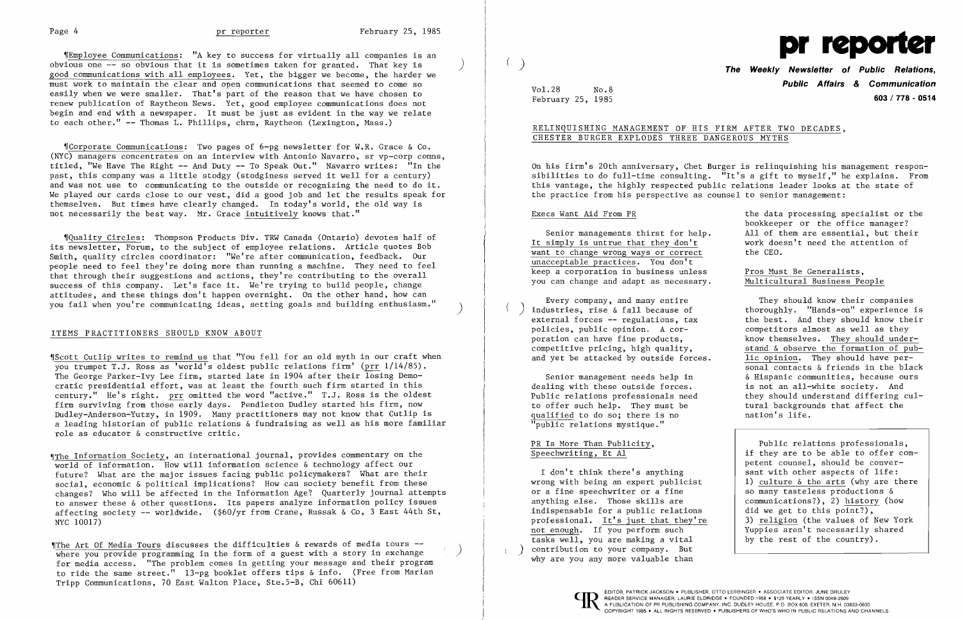~IEmployee Communications: "A key to success for virtually all companies is an obvious one  $-$ - so obvious that it is sometimes taken for granted. That key is good communications with all employees. Yet, the bigger we become, the harder we must work to maintain the clear and open communications that seemed to come so easily when we were smaller. That's part of the reason that we have chosen to renew publication of Raytheon News. Yet, good employee communications does not begin and end with a newspaper. It must be just as evident in the way we relate to each other." -- Thomas L. Phillips, chrm, Raytheon (Lexington, Mass.)

 $\parallel$ Corporate Communications: Two pages of 6-pg newsletter for W.R. Grace & Co. (NYC) managers concentrates on an interview with Antonio Navarro, sr vp-corp comns, titled, "We Have The Right -- And Duty -- To Speak Out." Navarro writes: "In the past, this company was a little stodgy (stodginess served it well for a century) and was not use to communicating to the outside or recognizing the need to do it. We played our cards close to our vest, did a good job and let the results speak for themselves. But times have clearly changed. In today's world, the old way is not necessarily the best way. Mr. Grace intuitively knows that."

~IQuality Circles: Thompson Products Div. TRW Canada (Ontario) devotes half of its newsletter, Forum, to the subject of employee relations. Article quotes Bob Smith, quality circles coordinator: "We're after communication, feedback. Our people need to feel they're doing more than running a machine. They need to feel that through their suggestions and actions, they're contributing to the overall success of this company. Let's face it. We're trying to build people, change attitudes, and these things don't happen overnight. On the other hand, how can you fail when you're communicating ideas, setting goals and building enthusiasm."

## ITEMS PRACTITIONERS SHOULD KNOW ABOUT

It simply is untrue that they don't  $\frac{1}{1}$  work doesn't work does want to change wrong ways or correct unacceptable practices. You don't keep a corporation in business unless Pros Must Be Generalists, you can change and adapt as necessary. Multicultural Business People

~IScott Cutlip writes to remind us that "You fell for an old myth in our craft when you trumpet T.J. Ross as 'world's oldest public relations firm' (prr 1/14/85). The George Parker-Ivy Lee firm, started late in 1904 after their losing Democratic presidential effort, was at least the fourth such firm started in this century." He's right. prr omitted the word "active." T.J. Ross is the oldest firm surviving from those early days. Pendleton Dudley started his firm, now Dudley-Anderson-Yutzy, in 1909. Many practitioners may not know that Cutlip is a leading historian of public relations & fundraising as well as his more familiar role as educator & constructive critic.

industries, rise & fall because of thoroughly. "Hands-on" experience is<br>external forces -- regulations, tax the best. And they should know their policies, public opinion. A cor-<br>
poration can have fine products,  $\qquad \qquad$  know themselves. They should under competitive pricing, high quality, stand & observe the formation of puband yet be attacked by outside forces. lic opinion. They should have per-

dealing with these outside forces. is not an all-white society. And<br>Public relations professionals need they should understand differing to offer such help. They must be tural backgrounds that affect the qualified to do so; there is no the mation's life. qualified to do so; there is no "public relations mystique."

~IThe Information Society, an international journal, provides commentary on the world of information. How will information science & technology affect our future? What are the major issues facing public policymakers? What are their social, economic & political implications? How can society benefit from these changes? Who will be affected in the Information Age? Quarterly journal attempts to answer these & other questions. Its papers analyze information policy issues affecting society -- worldwide. (\$60/yr from Crane, Russak & Co, 3 East 44th St, NYC 10017)

I don't think there's anything sant with other aspects of life: wrong with being an expert publicist or a fine speechwriter or a fine anything else. Those skills are indispensable for a public relations professional. It's just that they're not enough. If you perform such Tuppies aren't necessarily shared tasks well, you are making a vital ) contribution to your company. But why are you any more valuable than

~IThe Art Of Media Tours discusses the difficulties & rewards of media tours where you provide programming in the form of a guest with a story in exchange for media access. "The problem comes in getting your message and their program to ride the same street." 13-pg booklet offers tips & info. (Free from Marian Tripp Communications, 70 East Walton Place, Ste.5-B, Chi 60611)



Vol.28 No.8

**Public Affairs** *&* **Communication**  February 25, 1985 **603/778 - 0514** 

Execs Want Aid From PR The the data processing specialist or the bookkeeper or the office manager? Senior managements thirst for help. All of them are essential, but their<br>simply is untrue that they don't work doesn't need the attention of

Every company, and many entire They should know their companies the best. And they should know their know themselves. They should undersonal contacts & friends in the black Senior management needs help in & Hispanic communities, because ours they should understand differing cul-

# RELINQUISHING MANAGEMENT OF HIS FIRM AFTER TWO DECADES, CHESTER BURGER EXPLODES THREE DANGEROUS MYTHS

On his firm's 20th anniversary, Chet Burger is relinquishing his management responsibilities to do full-time consulting. "It's a gift to myself," he explains. From this vantage, the highly respected public relations leader looks at the state of the practice from his perspective as counsel to senior management:

Speechwriting, Et Al PR Is More Than Publicity,

Public relations professionals, if they are to be able to offer competent counsel, should be conver-1) culture  $\&$  the arts (why are there so many tasteless productions  $\&$  communications?), 2) history (how did we get to this point?), Ī 3) religion (the values of New York by the rest of the country).